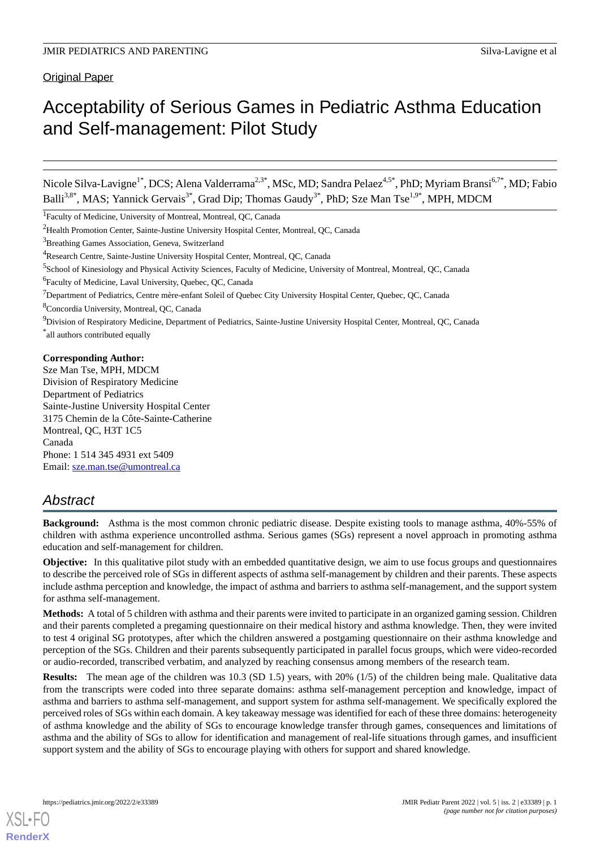Original Paper

# Acceptability of Serious Games in Pediatric Asthma Education and Self-management: Pilot Study

Nicole Silva-Lavigne<sup>1\*</sup>, DCS; Alena Valderrama<sup>2,3\*</sup>, MSc, MD; Sandra Pelaez<sup>4,5\*</sup>, PhD; Myriam Bransi<sup>6,7\*</sup>, MD; Fabio Balli<sup>3,8\*</sup>, MAS; Yannick Gervais<sup>3\*</sup>, Grad Dip; Thomas Gaudy<sup>3\*</sup>, PhD; Sze Man Tse<sup>1,9\*</sup>, MPH, MDCM

\* all authors contributed equally

# **Corresponding Author:**

Sze Man Tse, MPH, MDCM Division of Respiratory Medicine Department of Pediatrics Sainte-Justine University Hospital Center 3175 Chemin de la Côte-Sainte-Catherine Montreal, QC, H3T 1C5 Canada Phone: 1 514 345 4931 ext 5409 Email: [sze.man.tse@umontreal.ca](mailto:sze.man.tse@umontreal.ca)

# *Abstract*

**Background:** Asthma is the most common chronic pediatric disease. Despite existing tools to manage asthma, 40%-55% of children with asthma experience uncontrolled asthma. Serious games (SGs) represent a novel approach in promoting asthma education and self-management for children.

**Objective:** In this qualitative pilot study with an embedded quantitative design, we aim to use focus groups and questionnaires to describe the perceived role of SGs in different aspects of asthma self-management by children and their parents. These aspects include asthma perception and knowledge, the impact of asthma and barriers to asthma self-management, and the support system for asthma self-management.

**Methods:** A total of 5 children with asthma and their parents were invited to participate in an organized gaming session. Children and their parents completed a pregaming questionnaire on their medical history and asthma knowledge. Then, they were invited to test 4 original SG prototypes, after which the children answered a postgaming questionnaire on their asthma knowledge and perception of the SGs. Children and their parents subsequently participated in parallel focus groups, which were video-recorded or audio-recorded, transcribed verbatim, and analyzed by reaching consensus among members of the research team.

**Results:** The mean age of the children was 10.3 (SD 1.5) years, with 20% (1/5) of the children being male. Qualitative data from the transcripts were coded into three separate domains: asthma self-management perception and knowledge, impact of asthma and barriers to asthma self-management, and support system for asthma self-management. We specifically explored the perceived roles of SGs within each domain. A key takeaway message was identified for each of these three domains: heterogeneity of asthma knowledge and the ability of SGs to encourage knowledge transfer through games, consequences and limitations of asthma and the ability of SGs to allow for identification and management of real-life situations through games, and insufficient support system and the ability of SGs to encourage playing with others for support and shared knowledge.

[XSL](http://www.w3.org/Style/XSL)•FO **[RenderX](http://www.renderx.com/)**

<sup>&</sup>lt;sup>1</sup>Faculty of Medicine, University of Montreal, Montreal, QC, Canada

<sup>2</sup>Health Promotion Center, Sainte-Justine University Hospital Center, Montreal, QC, Canada

<sup>&</sup>lt;sup>3</sup>Breathing Games Association, Geneva, Switzerland

<sup>&</sup>lt;sup>4</sup>Research Centre, Sainte-Justine University Hospital Center, Montreal, QC, Canada

<sup>&</sup>lt;sup>5</sup>School of Kinesiology and Physical Activity Sciences, Faculty of Medicine, University of Montreal, Montreal, QC, Canada

<sup>6</sup> Faculty of Medicine, Laval University, Quebec, QC, Canada

 $^7$ Department of Pediatrics, Centre mère-enfant Soleil of Quebec City University Hospital Center, Quebec, QC, Canada

<sup>8</sup>Concordia University, Montreal, QC, Canada

<sup>&</sup>lt;sup>9</sup>Division of Respiratory Medicine, Department of Pediatrics, Sainte-Justine University Hospital Center, Montreal, QC, Canada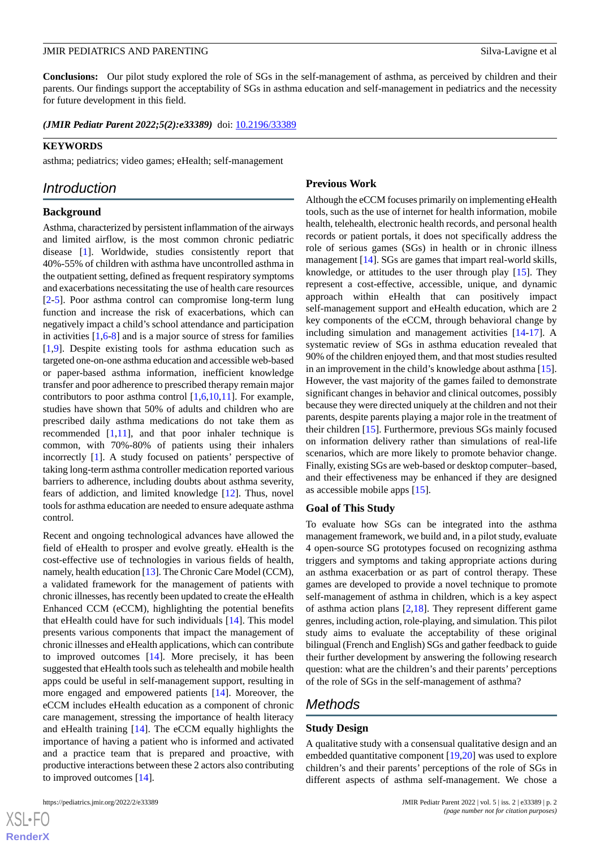**Conclusions:** Our pilot study explored the role of SGs in the self-management of asthma, as perceived by children and their parents. Our findings support the acceptability of SGs in asthma education and self-management in pediatrics and the necessity for future development in this field.

(JMIR Pediatr Parent 2022;5(2):e33389) doi: [10.2196/33389](http://dx.doi.org/10.2196/33389)

#### **KEYWORDS**

asthma; pediatrics; video games; eHealth; self-management

# *Introduction*

#### **Background**

Asthma, characterized by persistent inflammation of the airways and limited airflow, is the most common chronic pediatric disease [\[1](#page-10-0)]. Worldwide, studies consistently report that 40%-55% of children with asthma have uncontrolled asthma in the outpatient setting, defined as frequent respiratory symptoms and exacerbations necessitating the use of health care resources [[2](#page-10-1)[-5](#page-10-2)]. Poor asthma control can compromise long-term lung function and increase the risk of exacerbations, which can negatively impact a child's school attendance and participation in activities  $[1,6-8]$  $[1,6-8]$  $[1,6-8]$  $[1,6-8]$  and is a major source of stress for families [[1](#page-10-0)[,9](#page-10-5)]. Despite existing tools for asthma education such as targeted one-on-one asthma education and accessible web-based or paper-based asthma information, inefficient knowledge transfer and poor adherence to prescribed therapy remain major contributors to poor asthma control [\[1](#page-10-0),[6,](#page-10-3)[10](#page-10-6),[11\]](#page-10-7). For example, studies have shown that 50% of adults and children who are prescribed daily asthma medications do not take them as recommended [[1](#page-10-0)[,11](#page-10-7)], and that poor inhaler technique is common, with 70%-80% of patients using their inhalers incorrectly [[1](#page-10-0)]. A study focused on patients' perspective of taking long-term asthma controller medication reported various barriers to adherence, including doubts about asthma severity, fears of addiction, and limited knowledge [[12\]](#page-10-8). Thus, novel tools for asthma education are needed to ensure adequate asthma control.

Recent and ongoing technological advances have allowed the field of eHealth to prosper and evolve greatly. eHealth is the cost-effective use of technologies in various fields of health, namely, health education [\[13](#page-10-9)]. The Chronic Care Model (CCM), a validated framework for the management of patients with chronic illnesses, has recently been updated to create the eHealth Enhanced CCM (eCCM), highlighting the potential benefits that eHealth could have for such individuals [\[14](#page-10-10)]. This model presents various components that impact the management of chronic illnesses and eHealth applications, which can contribute to improved outcomes [\[14](#page-10-10)]. More precisely, it has been suggested that eHealth tools such as telehealth and mobile health apps could be useful in self-management support, resulting in more engaged and empowered patients [[14\]](#page-10-10). Moreover, the eCCM includes eHealth education as a component of chronic care management, stressing the importance of health literacy and eHealth training [[14\]](#page-10-10). The eCCM equally highlights the importance of having a patient who is informed and activated and a practice team that is prepared and proactive, with productive interactions between these 2 actors also contributing to improved outcomes [[14\]](#page-10-10).

 $XSI - F($ **[RenderX](http://www.renderx.com/)**

#### **Previous Work**

Although the eCCM focuses primarily on implementing eHealth tools, such as the use of internet for health information, mobile health, telehealth, electronic health records, and personal health records or patient portals, it does not specifically address the role of serious games (SGs) in health or in chronic illness management [\[14](#page-10-10)]. SGs are games that impart real-world skills, knowledge, or attitudes to the user through play [\[15](#page-10-11)]. They represent a cost-effective, accessible, unique, and dynamic approach within eHealth that can positively impact self-management support and eHealth education, which are 2 key components of the eCCM, through behavioral change by including simulation and management activities [[14-](#page-10-10)[17](#page-11-0)]. A systematic review of SGs in asthma education revealed that 90% of the children enjoyed them, and that most studies resulted in an improvement in the child's knowledge about asthma [[15\]](#page-10-11). However, the vast majority of the games failed to demonstrate significant changes in behavior and clinical outcomes, possibly because they were directed uniquely at the children and not their parents, despite parents playing a major role in the treatment of their children [[15\]](#page-10-11). Furthermore, previous SGs mainly focused on information delivery rather than simulations of real-life scenarios, which are more likely to promote behavior change. Finally, existing SGs are web-based or desktop computer–based, and their effectiveness may be enhanced if they are designed as accessible mobile apps [[15\]](#page-10-11).

#### **Goal of This Study**

To evaluate how SGs can be integrated into the asthma management framework, we build and, in a pilot study, evaluate 4 open-source SG prototypes focused on recognizing asthma triggers and symptoms and taking appropriate actions during an asthma exacerbation or as part of control therapy. These games are developed to provide a novel technique to promote self-management of asthma in children, which is a key aspect of asthma action plans [[2](#page-10-1)[,18](#page-11-1)]. They represent different game genres, including action, role-playing, and simulation. This pilot study aims to evaluate the acceptability of these original bilingual (French and English) SGs and gather feedback to guide their further development by answering the following research question: what are the children's and their parents' perceptions of the role of SGs in the self-management of asthma?

# *Methods*

#### **Study Design**

A qualitative study with a consensual qualitative design and an embedded quantitative component [\[19](#page-11-2),[20\]](#page-11-3) was used to explore children's and their parents' perceptions of the role of SGs in different aspects of asthma self-management. We chose a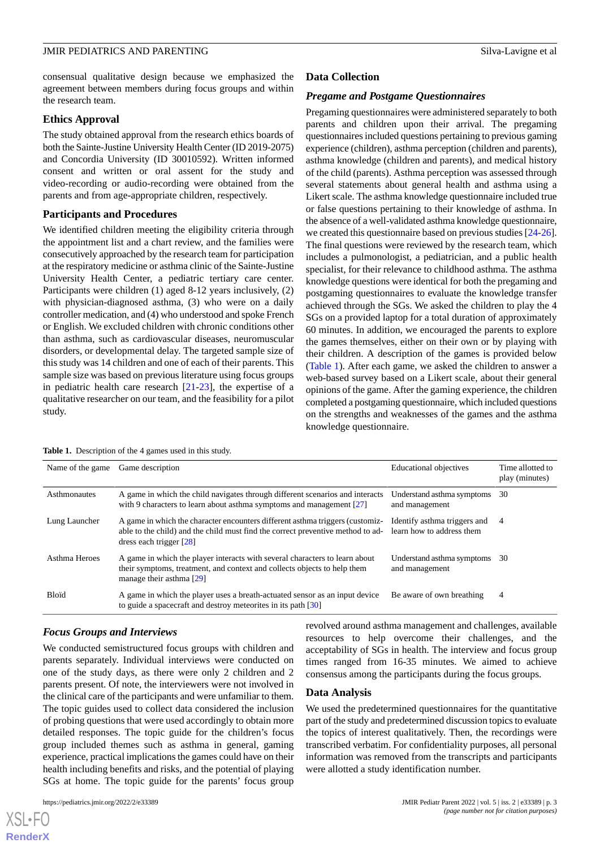#### JMIR PEDIATRICS AND PARENTING Silva-Lavigne et al.

consensual qualitative design because we emphasized the agreement between members during focus groups and within the research team.

#### **Ethics Approval**

The study obtained approval from the research ethics boards of both the Sainte-Justine University Health Center (ID 2019-2075) and Concordia University (ID 30010592). Written informed consent and written or oral assent for the study and video-recording or audio-recording were obtained from the parents and from age-appropriate children, respectively.

#### **Participants and Procedures**

We identified children meeting the eligibility criteria through the appointment list and a chart review, and the families were consecutively approached by the research team for participation at the respiratory medicine or asthma clinic of the Sainte-Justine University Health Center, a pediatric tertiary care center. Participants were children (1) aged 8-12 years inclusively, (2) with physician-diagnosed asthma, (3) who were on a daily controller medication, and (4) who understood and spoke French or English. We excluded children with chronic conditions other than asthma, such as cardiovascular diseases, neuromuscular disorders, or developmental delay. The targeted sample size of this study was 14 children and one of each of their parents. This sample size was based on previous literature using focus groups in pediatric health care research [\[21](#page-11-4)-[23\]](#page-11-5), the expertise of a qualitative researcher on our team, and the feasibility for a pilot study.

# **Data Collection**

#### *Pregame and Postgame Questionnaires*

Pregaming questionnaires were administered separately to both parents and children upon their arrival. The pregaming questionnaires included questions pertaining to previous gaming experience (children), asthma perception (children and parents), asthma knowledge (children and parents), and medical history of the child (parents). Asthma perception was assessed through several statements about general health and asthma using a Likert scale. The asthma knowledge questionnaire included true or false questions pertaining to their knowledge of asthma. In the absence of a well-validated asthma knowledge questionnaire, we created this questionnaire based on previous studies [[24](#page-11-6)[-26](#page-11-7)]. The final questions were reviewed by the research team, which includes a pulmonologist, a pediatrician, and a public health specialist, for their relevance to childhood asthma. The asthma knowledge questions were identical for both the pregaming and postgaming questionnaires to evaluate the knowledge transfer achieved through the SGs. We asked the children to play the 4 SGs on a provided laptop for a total duration of approximately 60 minutes. In addition, we encouraged the parents to explore the games themselves, either on their own or by playing with their children. A description of the games is provided below ([Table 1\)](#page-2-0). After each game, we asked the children to answer a web-based survey based on a Likert scale, about their general opinions of the game. After the gaming experience, the children completed a postgaming questionnaire, which included questions on the strengths and weaknesses of the games and the asthma knowledge questionnaire.

| Name of the game | Game description                                                                                                                                                                              | <b>Educational objectives</b>                             | Time allotted to<br>play (minutes) |
|------------------|-----------------------------------------------------------------------------------------------------------------------------------------------------------------------------------------------|-----------------------------------------------------------|------------------------------------|
| Asthmonautes     | A game in which the child navigates through different scenarios and interacts<br>with 9 characters to learn about asthma symptoms and management $[27]$                                       | Understand asthma symptoms<br>and management              | 30                                 |
| Lung Launcher    | A game in which the character encounters different asthma triggers (customiz-<br>able to the child) and the child must find the correct preventive method to ad-<br>dress each trigger $[28]$ | Identify asthma triggers and<br>learn how to address them | 4                                  |
| Asthma Heroes    | A game in which the player interacts with several characters to learn about<br>their symptoms, treatment, and context and collects objects to help them<br>manage their asthma $[29]$         | Understand asthma symptoms<br>and management              | -30                                |
| <b>Bloid</b>     | A game in which the player uses a breath-actuated sensor as an input device<br>to guide a spacecraft and destroy meteorites in its path [30]                                                  | Be aware of own breathing                                 | $\overline{4}$                     |

#### <span id="page-2-0"></span>**Table 1.** Description of the 4 games used in this study.

### *Focus Groups and Interviews*

We conducted semistructured focus groups with children and parents separately. Individual interviews were conducted on one of the study days, as there were only 2 children and 2 parents present. Of note, the interviewers were not involved in the clinical care of the participants and were unfamiliar to them. The topic guides used to collect data considered the inclusion of probing questions that were used accordingly to obtain more detailed responses. The topic guide for the children's focus group included themes such as asthma in general, gaming experience, practical implications the games could have on their health including benefits and risks, and the potential of playing SGs at home. The topic guide for the parents' focus group

[XSL](http://www.w3.org/Style/XSL)•FO **[RenderX](http://www.renderx.com/)**

revolved around asthma management and challenges, available resources to help overcome their challenges, and the acceptability of SGs in health. The interview and focus group times ranged from 16-35 minutes. We aimed to achieve consensus among the participants during the focus groups.

#### **Data Analysis**

We used the predetermined questionnaires for the quantitative part of the study and predetermined discussion topics to evaluate the topics of interest qualitatively. Then, the recordings were transcribed verbatim. For confidentiality purposes, all personal information was removed from the transcripts and participants were allotted a study identification number.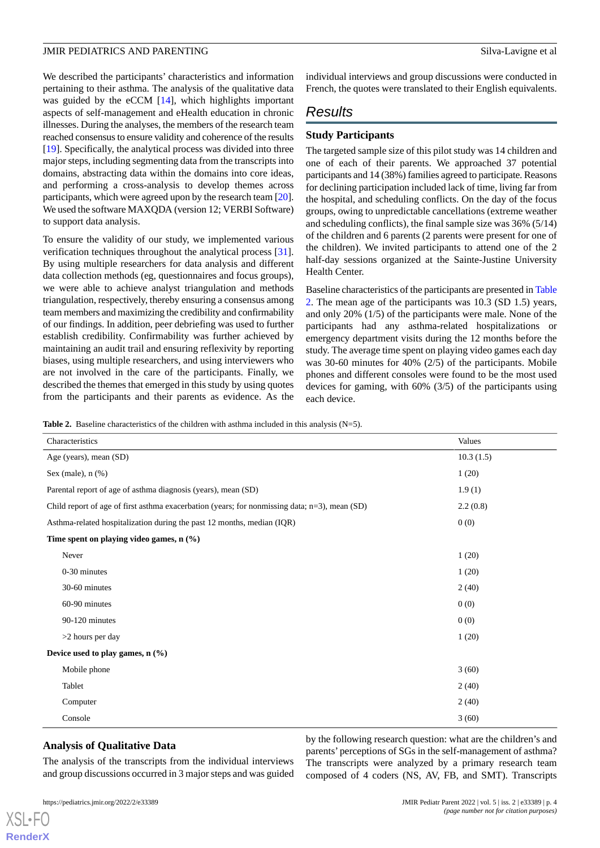# JMIR PEDIATRICS AND PARENTING Silva-Lavigne et al

We described the participants' characteristics and information pertaining to their asthma. The analysis of the qualitative data was guided by the eCCM [\[14](#page-10-10)], which highlights important aspects of self-management and eHealth education in chronic illnesses. During the analyses, the members of the research team reached consensus to ensure validity and coherence of the results [[19\]](#page-11-2). Specifically, the analytical process was divided into three major steps, including segmenting data from the transcripts into domains, abstracting data within the domains into core ideas, and performing a cross-analysis to develop themes across participants, which were agreed upon by the research team [[20\]](#page-11-3). We used the software MAXQDA (version 12; VERBI Software) to support data analysis.

To ensure the validity of our study, we implemented various verification techniques throughout the analytical process [[31\]](#page-11-12). By using multiple researchers for data analysis and different data collection methods (eg, questionnaires and focus groups), we were able to achieve analyst triangulation and methods triangulation, respectively, thereby ensuring a consensus among team members and maximizing the credibility and confirmability of our findings. In addition, peer debriefing was used to further establish credibility. Confirmability was further achieved by maintaining an audit trail and ensuring reflexivity by reporting biases, using multiple researchers, and using interviewers who are not involved in the care of the participants. Finally, we described the themes that emerged in this study by using quotes from the participants and their parents as evidence. As the

individual interviews and group discussions were conducted in French, the quotes were translated to their English equivalents.

# *Results*

# **Study Participants**

The targeted sample size of this pilot study was 14 children and one of each of their parents. We approached 37 potential participants and 14 (38%) families agreed to participate. Reasons for declining participation included lack of time, living far from the hospital, and scheduling conflicts. On the day of the focus groups, owing to unpredictable cancellations (extreme weather and scheduling conflicts), the final sample size was 36% (5/14) of the children and 6 parents (2 parents were present for one of the children). We invited participants to attend one of the 2 half-day sessions organized at the Sainte-Justine University Health Center.

Baseline characteristics of the participants are presented in [Table](#page-3-0) [2.](#page-3-0) The mean age of the participants was 10.3 (SD 1.5) years, and only 20% (1/5) of the participants were male. None of the participants had any asthma-related hospitalizations or emergency department visits during the 12 months before the study. The average time spent on playing video games each day was 30-60 minutes for 40% (2/5) of the participants. Mobile phones and different consoles were found to be the most used devices for gaming, with 60% (3/5) of the participants using each device.

<span id="page-3-0"></span>**Table 2.** Baseline characteristics of the children with asthma included in this analysis (N=5).

| Characteristics                                                                                  | Values    |  |  |
|--------------------------------------------------------------------------------------------------|-----------|--|--|
| Age (years), mean (SD)                                                                           | 10.3(1.5) |  |  |
| Sex (male), $n$ (%)                                                                              | 1(20)     |  |  |
| Parental report of age of asthma diagnosis (years), mean (SD)                                    | 1.9(1)    |  |  |
| Child report of age of first asthma exacerbation (years; for nonmissing data; $n=3$ ), mean (SD) | 2.2(0.8)  |  |  |
| Asthma-related hospitalization during the past 12 months, median (IQR)                           | 0(0)      |  |  |
| Time spent on playing video games, n (%)                                                         |           |  |  |
| Never                                                                                            | 1(20)     |  |  |
| 0-30 minutes                                                                                     | 1(20)     |  |  |
| 30-60 minutes                                                                                    | 2(40)     |  |  |
| 60-90 minutes                                                                                    | 0(0)      |  |  |
| 90-120 minutes                                                                                   | 0(0)      |  |  |
| >2 hours per day                                                                                 | 1(20)     |  |  |
| Device used to play games, $n$ (%)                                                               |           |  |  |
| Mobile phone                                                                                     | 3(60)     |  |  |
| Tablet                                                                                           | 2(40)     |  |  |
| Computer                                                                                         | 2(40)     |  |  |
| Console                                                                                          | 3(60)     |  |  |

# **Analysis of Qualitative Data**

The analysis of the transcripts from the individual interviews and group discussions occurred in 3 major steps and was guided

[XSL](http://www.w3.org/Style/XSL)•FO **[RenderX](http://www.renderx.com/)**

by the following research question: what are the children's and parents' perceptions of SGs in the self-management of asthma? The transcripts were analyzed by a primary research team composed of 4 coders (NS, AV, FB, and SMT). Transcripts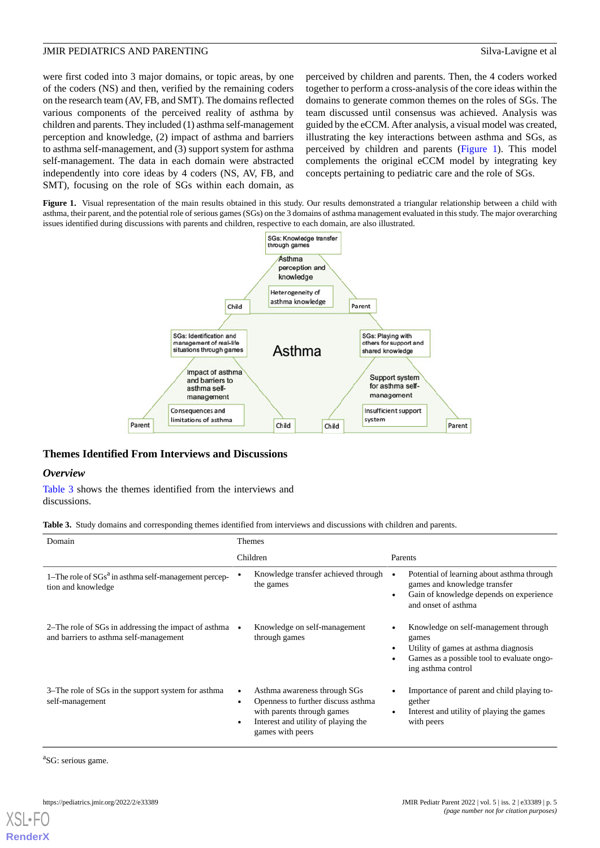were first coded into 3 major domains, or topic areas, by one of the coders (NS) and then, verified by the remaining coders on the research team (AV, FB, and SMT). The domains reflected various components of the perceived reality of asthma by children and parents. They included (1) asthma self-management perception and knowledge, (2) impact of asthma and barriers to asthma self-management, and (3) support system for asthma self-management. The data in each domain were abstracted independently into core ideas by 4 coders (NS, AV, FB, and SMT), focusing on the role of SGs within each domain, as

perceived by children and parents. Then, the 4 coders worked together to perform a cross-analysis of the core ideas within the domains to generate common themes on the roles of SGs. The team discussed until consensus was achieved. Analysis was guided by the eCCM. After analysis, a visual model was created, illustrating the key interactions between asthma and SGs, as perceived by children and parents ([Figure 1\)](#page-4-0). This model complements the original eCCM model by integrating key concepts pertaining to pediatric care and the role of SGs.

<span id="page-4-0"></span>Figure 1. Visual representation of the main results obtained in this study. Our results demonstrated a triangular relationship between a child with asthma, their parent, and the potential role of serious games (SGs) on the 3 domains of asthma management evaluated in this study. The major overarching issues identified during discussions with parents and children, respective to each domain, are also illustrated.



# **Themes Identified From Interviews and Discussions**

# <span id="page-4-1"></span>*Overview*

[Table 3](#page-4-1) shows the themes identified from the interviews and discussions.

**Table 3.** Study domains and corresponding themes identified from interviews and discussions with children and parents.

| Domain                                                                                                   | <b>Themes</b>                                                                                                                                                              |                                                                                                                                                           |  |
|----------------------------------------------------------------------------------------------------------|----------------------------------------------------------------------------------------------------------------------------------------------------------------------------|-----------------------------------------------------------------------------------------------------------------------------------------------------------|--|
|                                                                                                          | Children                                                                                                                                                                   | Parents                                                                                                                                                   |  |
| 1–The role of $S\overline{Gs}^a$ in asthma self-management percep-<br>tion and knowledge                 | Knowledge transfer achieved through<br>the games                                                                                                                           | Potential of learning about asthma through<br>games and knowledge transfer<br>Gain of knowledge depends on experience<br>and onset of asthma              |  |
| 2–The role of SGs in addressing the impact of asthma $\bullet$<br>and barriers to asthma self-management | Knowledge on self-management<br>through games                                                                                                                              | Knowledge on self-management through<br>games<br>Utility of games at asthma diagnosis<br>Games as a possible tool to evaluate ongo-<br>ing asthma control |  |
| 3–The role of SGs in the support system for asthma<br>self-management                                    | Asthma awareness through SGs<br>٠<br>Openness to further discuss asthma<br>٠<br>with parents through games<br>Interest and utility of playing the<br>٠<br>games with peers | Importance of parent and child playing to-<br>gether<br>Interest and utility of playing the games<br>with peers                                           |  |

<sup>a</sup>SG: serious game.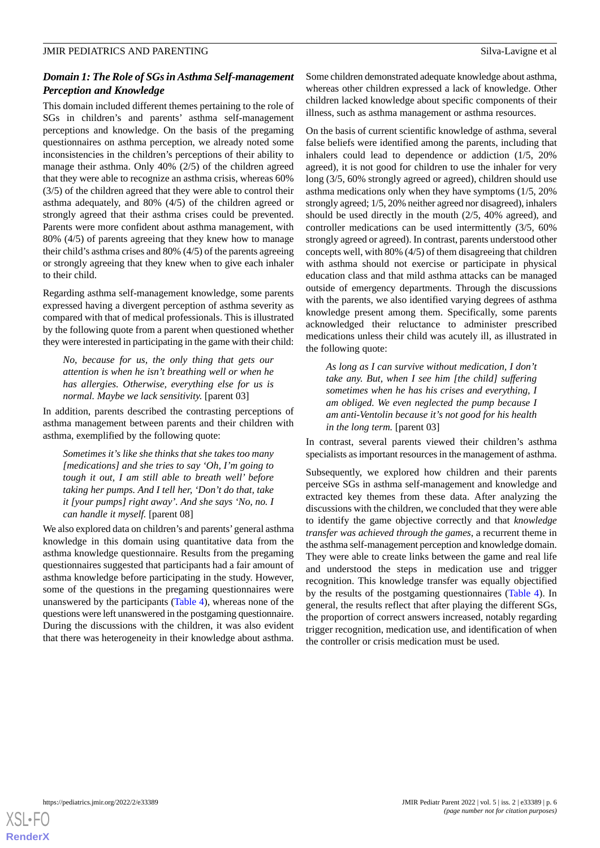# *Domain 1: The Role of SGs in Asthma Self-management Perception and Knowledge*

This domain included different themes pertaining to the role of SGs in children's and parents' asthma self-management perceptions and knowledge. On the basis of the pregaming questionnaires on asthma perception, we already noted some inconsistencies in the children's perceptions of their ability to manage their asthma. Only 40% (2/5) of the children agreed that they were able to recognize an asthma crisis, whereas 60% (3/5) of the children agreed that they were able to control their asthma adequately, and 80% (4/5) of the children agreed or strongly agreed that their asthma crises could be prevented. Parents were more confident about asthma management, with 80% (4/5) of parents agreeing that they knew how to manage their child's asthma crises and 80% (4/5) of the parents agreeing or strongly agreeing that they knew when to give each inhaler to their child.

Regarding asthma self-management knowledge, some parents expressed having a divergent perception of asthma severity as compared with that of medical professionals. This is illustrated by the following quote from a parent when questioned whether they were interested in participating in the game with their child:

*No, because for us, the only thing that gets our attention is when he isn't breathing well or when he has allergies. Otherwise, everything else for us is normal. Maybe we lack sensitivity.* [parent 03]

In addition, parents described the contrasting perceptions of asthma management between parents and their children with asthma, exemplified by the following quote:

*Sometimes it's like she thinks that she takes too many [medications] and she tries to say 'Oh, I'm going to tough it out, I am still able to breath well' before taking her pumps. And I tell her, 'Don't do that, take it [your pumps] right away'. And she says 'No, no. I can handle it myself.* [parent 08]

We also explored data on children's and parents'general asthma knowledge in this domain using quantitative data from the asthma knowledge questionnaire. Results from the pregaming questionnaires suggested that participants had a fair amount of asthma knowledge before participating in the study. However, some of the questions in the pregaming questionnaires were unanswered by the participants ([Table 4\)](#page-6-0), whereas none of the questions were left unanswered in the postgaming questionnaire. During the discussions with the children, it was also evident that there was heterogeneity in their knowledge about asthma.

Some children demonstrated adequate knowledge about asthma, whereas other children expressed a lack of knowledge. Other children lacked knowledge about specific components of their illness, such as asthma management or asthma resources.

On the basis of current scientific knowledge of asthma, several false beliefs were identified among the parents, including that inhalers could lead to dependence or addiction (1/5, 20% agreed), it is not good for children to use the inhaler for very long (3/5, 60% strongly agreed or agreed), children should use asthma medications only when they have symptoms (1/5, 20% strongly agreed; 1/5, 20% neither agreed nor disagreed), inhalers should be used directly in the mouth (2/5, 40% agreed), and controller medications can be used intermittently (3/5, 60% strongly agreed or agreed). In contrast, parents understood other concepts well, with 80% (4/5) of them disagreeing that children with asthma should not exercise or participate in physical education class and that mild asthma attacks can be managed outside of emergency departments. Through the discussions with the parents, we also identified varying degrees of asthma knowledge present among them. Specifically, some parents acknowledged their reluctance to administer prescribed medications unless their child was acutely ill, as illustrated in the following quote:

*As long as I can survive without medication, I don't take any. But, when I see him [the child] suffering sometimes when he has his crises and everything, I am obliged. We even neglected the pump because I am anti-Ventolin because it's not good for his health in the long term.* [parent 03]

In contrast, several parents viewed their children's asthma specialists as important resources in the management of asthma.

Subsequently, we explored how children and their parents perceive SGs in asthma self-management and knowledge and extracted key themes from these data. After analyzing the discussions with the children, we concluded that they were able to identify the game objective correctly and that *knowledge transfer was achieved through the games*, a recurrent theme in the asthma self-management perception and knowledge domain. They were able to create links between the game and real life and understood the steps in medication use and trigger recognition. This knowledge transfer was equally objectified by the results of the postgaming questionnaires ([Table 4](#page-6-0)). In general, the results reflect that after playing the different SGs, the proportion of correct answers increased, notably regarding trigger recognition, medication use, and identification of when the controller or crisis medication must be used.

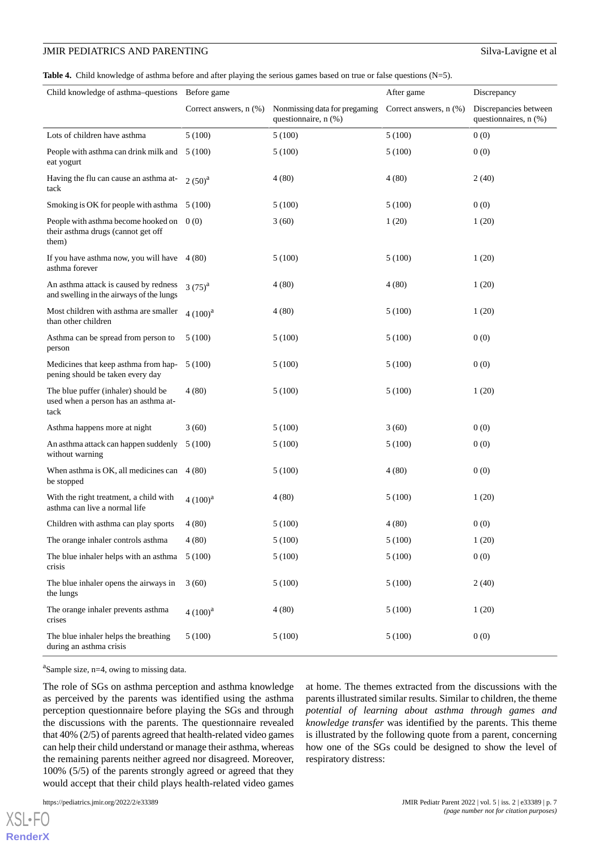### JMIR PEDIATRICS AND PARENTING Silva-Lavigne et al

<span id="page-6-0"></span>**Table 4.** Child knowledge of asthma before and after playing the serious games based on true or false questions (N=5).

| Child knowledge of asthma-questions Before game                                           |                             |                                                       | After game             | Discrepancy                                    |
|-------------------------------------------------------------------------------------------|-----------------------------|-------------------------------------------------------|------------------------|------------------------------------------------|
|                                                                                           | Correct answers, $n$ $(\%)$ | Nonmissing data for pregaming<br>questionnaire, n (%) | Correct answers, n (%) | Discrepancies between<br>questionnaires, n (%) |
| Lots of children have asthma                                                              | 5(100)                      | 5(100)                                                | 5(100)                 | 0(0)                                           |
| People with asthma can drink milk and<br>eat yogurt                                       | 5 (100)                     | 5(100)                                                | 5(100)                 | 0(0)                                           |
| Having the flu can cause an asthma at-<br>tack                                            | $2(50)^{a}$                 | 4(80)                                                 | 4(80)                  | 2(40)                                          |
| Smoking is OK for people with asthma 5 (100)                                              |                             | 5(100)                                                | 5(100)                 | 0(0)                                           |
| People with asthma become hooked on $0(0)$<br>their asthma drugs (cannot get off<br>them) |                             | 3(60)                                                 | 1(20)                  | 1(20)                                          |
| If you have asthma now, you will have $4(80)$<br>asthma forever                           |                             | 5(100)                                                | 5(100)                 | 1(20)                                          |
| An asthma attack is caused by redness<br>and swelling in the airways of the lungs         | $3(75)^{a}$                 | 4(80)                                                 | 4(80)                  | 1(20)                                          |
| Most children with asthma are smaller<br>than other children                              | $4(100)^{a}$                | 4(80)                                                 | 5(100)                 | 1(20)                                          |
| Asthma can be spread from person to<br>person                                             | 5(100)                      | 5(100)                                                | 5(100)                 | 0(0)                                           |
| Medicines that keep asthma from hap-<br>pening should be taken every day                  | 5(100)                      | 5(100)                                                | 5(100)                 | 0(0)                                           |
| The blue puffer (inhaler) should be<br>used when a person has an asthma at-<br>tack       | 4(80)                       | 5(100)                                                | 5(100)                 | 1(20)                                          |
| Asthma happens more at night                                                              | 3(60)                       | 5(100)                                                | 3(60)                  | 0(0)                                           |
| An asthma attack can happen suddenly<br>without warning                                   | 5(100)                      | 5(100)                                                | 5(100)                 | 0(0)                                           |
| When asthma is OK, all medicines can<br>be stopped                                        | 4(80)                       | 5(100)                                                | 4(80)                  | 0(0)                                           |
| With the right treatment, a child with<br>asthma can live a normal life                   | $4(100)^{a}$                | 4(80)                                                 | 5(100)                 | 1(20)                                          |
| Children with asthma can play sports                                                      | 4(80)                       | 5(100)                                                | 4(80)                  | 0(0)                                           |
| The orange inhaler controls asthma                                                        | 4(80)                       | 5(100)                                                | 5(100)                 | 1(20)                                          |
| The blue inhaler helps with an asthma<br>crisis                                           | 5(100)                      | 5(100)                                                | 5(100)                 | 0(0)                                           |
| The blue inhaler opens the airways in<br>the lungs                                        | 3(60)                       | 5(100)                                                | 5(100)                 | 2(40)                                          |
| The orange inhaler prevents asthma<br>crises                                              | $4(100)^{a}$                | 4(80)                                                 | 5(100)                 | 1(20)                                          |
| The blue inhaler helps the breathing<br>during an asthma crisis                           | 5(100)                      | 5(100)                                                | 5(100)                 | 0(0)                                           |

<sup>a</sup>Sample size, n=4, owing to missing data.

The role of SGs on asthma perception and asthma knowledge as perceived by the parents was identified using the asthma perception questionnaire before playing the SGs and through the discussions with the parents. The questionnaire revealed that 40% (2/5) of parents agreed that health-related video games can help their child understand or manage their asthma, whereas the remaining parents neither agreed nor disagreed. Moreover, 100% (5/5) of the parents strongly agreed or agreed that they would accept that their child plays health-related video games

 $XS$  • FC **[RenderX](http://www.renderx.com/)**

at home. The themes extracted from the discussions with the parents illustrated similar results. Similar to children, the theme *potential of learning about asthma through games and knowledge transfer* was identified by the parents. This theme is illustrated by the following quote from a parent, concerning how one of the SGs could be designed to show the level of respiratory distress: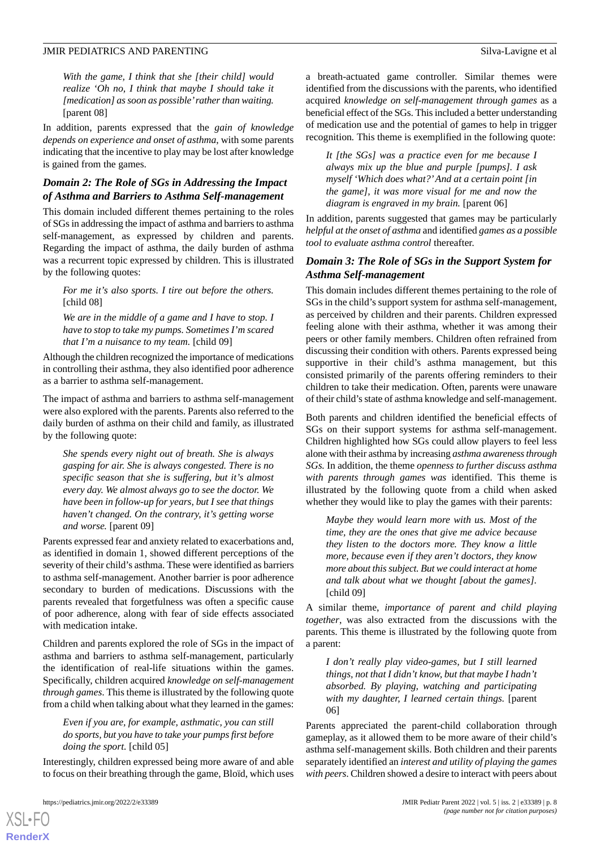*With the game, I think that she [their child] would realize 'Oh no, I think that maybe I should take it [medication] as soon as possible'rather than waiting.* [parent 08]

In addition, parents expressed that the *gain of knowledge depends on experience and onset of asthma*, with some parents indicating that the incentive to play may be lost after knowledge is gained from the games.

# *Domain 2: The Role of SGs in Addressing the Impact of Asthma and Barriers to Asthma Self-management*

This domain included different themes pertaining to the roles of SGs in addressing the impact of asthma and barriers to asthma self-management, as expressed by children and parents. Regarding the impact of asthma, the daily burden of asthma was a recurrent topic expressed by children. This is illustrated by the following quotes:

*For me it's also sports. I tire out before the others.* [child 08]

*We are in the middle of a game and I have to stop. I have to stop to take my pumps. Sometimes I'm scared that I'm a nuisance to my team.* [child 09]

Although the children recognized the importance of medications in controlling their asthma, they also identified poor adherence as a barrier to asthma self-management.

The impact of asthma and barriers to asthma self-management were also explored with the parents. Parents also referred to the daily burden of asthma on their child and family, as illustrated by the following quote:

*She spends every night out of breath. She is always gasping for air. She is always congested. There is no specific season that she is suffering, but it's almost every day. We almost always go to see the doctor. We have been in follow-up for years, but I see that things haven't changed. On the contrary, it's getting worse and worse.* [parent 09]

Parents expressed fear and anxiety related to exacerbations and, as identified in domain 1, showed different perceptions of the severity of their child's asthma. These were identified as barriers to asthma self-management. Another barrier is poor adherence secondary to burden of medications. Discussions with the parents revealed that forgetfulness was often a specific cause of poor adherence, along with fear of side effects associated with medication intake.

Children and parents explored the role of SGs in the impact of asthma and barriers to asthma self-management, particularly the identification of real-life situations within the games. Specifically, children acquired *knowledge on self-management through games*. This theme is illustrated by the following quote from a child when talking about what they learned in the games:

*Even if you are, for example, asthmatic, you can still do sports, but you have to take your pumps first before doing the sport.* [child 05]

Interestingly, children expressed being more aware of and able to focus on their breathing through the game, Bloïd, which uses

[XSL](http://www.w3.org/Style/XSL)•FO **[RenderX](http://www.renderx.com/)**

a breath-actuated game controller. Similar themes were identified from the discussions with the parents, who identified acquired *knowledge on self-management through games* as a beneficial effect of the SGs. This included a better understanding of medication use and the potential of games to help in trigger recognition*.* This theme is exemplified in the following quote:

*It [the SGs] was a practice even for me because I always mix up the blue and purple [pumps]. I ask myself 'Which does what?'And at a certain point [in the game], it was more visual for me and now the diagram is engraved in my brain.* [parent 06]

In addition, parents suggested that games may be particularly *helpful at the onset of asthma* and identified *games as a possible tool to evaluate asthma control* thereafter.

# *Domain 3: The Role of SGs in the Support System for Asthma Self-management*

This domain includes different themes pertaining to the role of SGs in the child's support system for asthma self-management, as perceived by children and their parents. Children expressed feeling alone with their asthma*,* whether it was among their peers or other family members. Children often refrained from discussing their condition with others. Parents expressed being supportive in their child's asthma management, but this consisted primarily of the parents offering reminders to their children to take their medication. Often, parents were unaware of their child's state of asthma knowledge and self-management.

Both parents and children identified the beneficial effects of SGs on their support systems for asthma self-management. Children highlighted how SGs could allow players to feel less alone with their asthma by increasing *asthma awareness through SGs.* In addition, the theme *openness to further discuss asthma with parents through games was* identified. This theme is illustrated by the following quote from a child when asked whether they would like to play the games with their parents:

*Maybe they would learn more with us. Most of the time, they are the ones that give me advice because they listen to the doctors more. They know a little more, because even if they aren't doctors, they know more about this subject. But we could interact at home and talk about what we thought [about the games].* [child 09]

A similar theme, *importance of parent and child playing together*, was also extracted from the discussions with the parents. This theme is illustrated by the following quote from a parent:

*I don't really play video-games, but I still learned things, not that I didn't know, but that maybe I hadn't absorbed. By playing, watching and participating with my daughter, I learned certain things.* [parent 06]

Parents appreciated the parent-child collaboration through gameplay, as it allowed them to be more aware of their child's asthma self-management skills. Both children and their parents separately identified an *interest and utility of playing the games with peers*. Children showed a desire to interact with peers about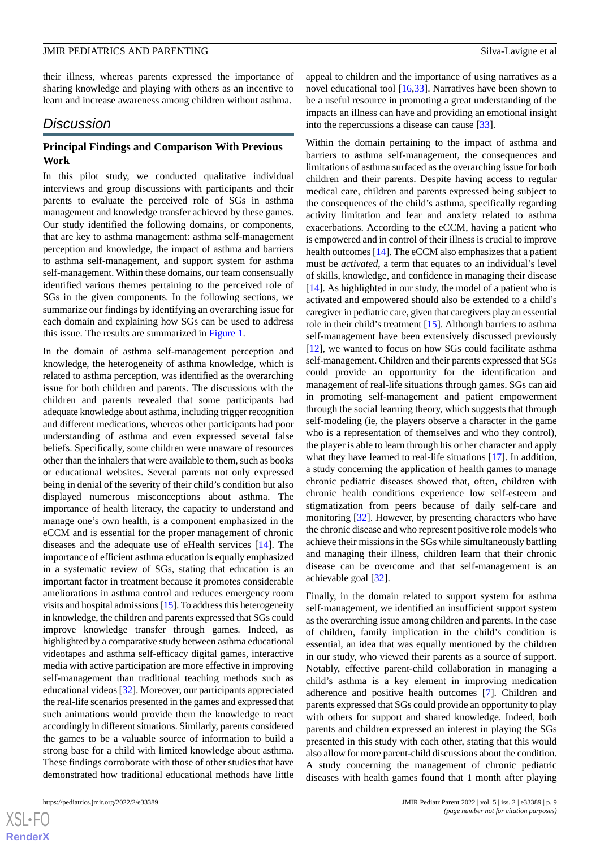their illness, whereas parents expressed the importance of sharing knowledge and playing with others as an incentive to learn and increase awareness among children without asthma.

# *Discussion*

## **Principal Findings and Comparison With Previous Work**

In this pilot study, we conducted qualitative individual interviews and group discussions with participants and their parents to evaluate the perceived role of SGs in asthma management and knowledge transfer achieved by these games. Our study identified the following domains, or components, that are key to asthma management: asthma self-management perception and knowledge, the impact of asthma and barriers to asthma self-management, and support system for asthma self-management. Within these domains, our team consensually identified various themes pertaining to the perceived role of SGs in the given components. In the following sections, we summarize our findings by identifying an overarching issue for each domain and explaining how SGs can be used to address this issue. The results are summarized in [Figure 1](#page-4-0).

In the domain of asthma self-management perception and knowledge, the heterogeneity of asthma knowledge, which is related to asthma perception, was identified as the overarching issue for both children and parents. The discussions with the children and parents revealed that some participants had adequate knowledge about asthma, including trigger recognition and different medications, whereas other participants had poor understanding of asthma and even expressed several false beliefs. Specifically, some children were unaware of resources other than the inhalers that were available to them, such as books or educational websites. Several parents not only expressed being in denial of the severity of their child's condition but also displayed numerous misconceptions about asthma. The importance of health literacy, the capacity to understand and manage one's own health, is a component emphasized in the eCCM and is essential for the proper management of chronic diseases and the adequate use of eHealth services [\[14](#page-10-10)]. The importance of efficient asthma education is equally emphasized in a systematic review of SGs, stating that education is an important factor in treatment because it promotes considerable ameliorations in asthma control and reduces emergency room visits and hospital admissions [\[15\]](#page-10-11). To address this heterogeneity in knowledge, the children and parents expressed that SGs could improve knowledge transfer through games*.* Indeed, as highlighted by a comparative study between asthma educational videotapes and asthma self-efficacy digital games, interactive media with active participation are more effective in improving self-management than traditional teaching methods such as educational videos [[32\]](#page-11-13). Moreover, our participants appreciated the real-life scenarios presented in the games and expressed that such animations would provide them the knowledge to react accordingly in different situations. Similarly, parents considered the games to be a valuable source of information to build a strong base for a child with limited knowledge about asthma. These findings corroborate with those of other studies that have demonstrated how traditional educational methods have little

appeal to children and the importance of using narratives as a novel educational tool [[16,](#page-10-12)[33](#page-11-14)]. Narratives have been shown to be a useful resource in promoting a great understanding of the impacts an illness can have and providing an emotional insight into the repercussions a disease can cause [\[33](#page-11-14)].

Within the domain pertaining to the impact of asthma and barriers to asthma self-management, the consequences and limitations of asthma surfaced as the overarching issue for both children and their parents. Despite having access to regular medical care, children and parents expressed being subject to the consequences of the child's asthma, specifically regarding activity limitation and fear and anxiety related to asthma exacerbations. According to the eCCM, having a patient who is empowered and in control of their illness is crucial to improve health outcomes [\[14](#page-10-10)]. The eCCM also emphasizes that a patient must be *activated*, a term that equates to an individual's level of skills, knowledge, and confidence in managing their disease [[14\]](#page-10-10). As highlighted in our study, the model of a patient who is activated and empowered should also be extended to a child's caregiver in pediatric care, given that caregivers play an essential role in their child's treatment [[15\]](#page-10-11). Although barriers to asthma self-management have been extensively discussed previously [[12\]](#page-10-8), we wanted to focus on how SGs could facilitate asthma self-management. Children and their parents expressed that SGs could provide an opportunity for the identification and management of real-life situations through games. SGs can aid in promoting self-management and patient empowerment through the social learning theory, which suggests that through self-modeling (ie, the players observe a character in the game who is a representation of themselves and who they control), the player is able to learn through his or her character and apply what they have learned to real-life situations [[17\]](#page-11-0). In addition, a study concerning the application of health games to manage chronic pediatric diseases showed that, often, children with chronic health conditions experience low self-esteem and stigmatization from peers because of daily self-care and monitoring [\[32](#page-11-13)]. However, by presenting characters who have the chronic disease and who represent positive role models who achieve their missions in the SGs while simultaneously battling and managing their illness, children learn that their chronic disease can be overcome and that self-management is an achievable goal [\[32](#page-11-13)].

Finally, in the domain related to support system for asthma self-management, we identified an insufficient support system as the overarching issue among children and parents. In the case of children, family implication in the child's condition is essential, an idea that was equally mentioned by the children in our study, who viewed their parents as a source of support. Notably, effective parent-child collaboration in managing a child's asthma is a key element in improving medication adherence and positive health outcomes [\[7](#page-10-13)]. Children and parents expressed that SGs could provide an opportunity to play with others for support and shared knowledge. Indeed, both parents and children expressed an interest in playing the SGs presented in this study with each other, stating that this would also allow for more parent-child discussions about the condition. A study concerning the management of chronic pediatric diseases with health games found that 1 month after playing

 $XS$  $\cdot$ FC **[RenderX](http://www.renderx.com/)**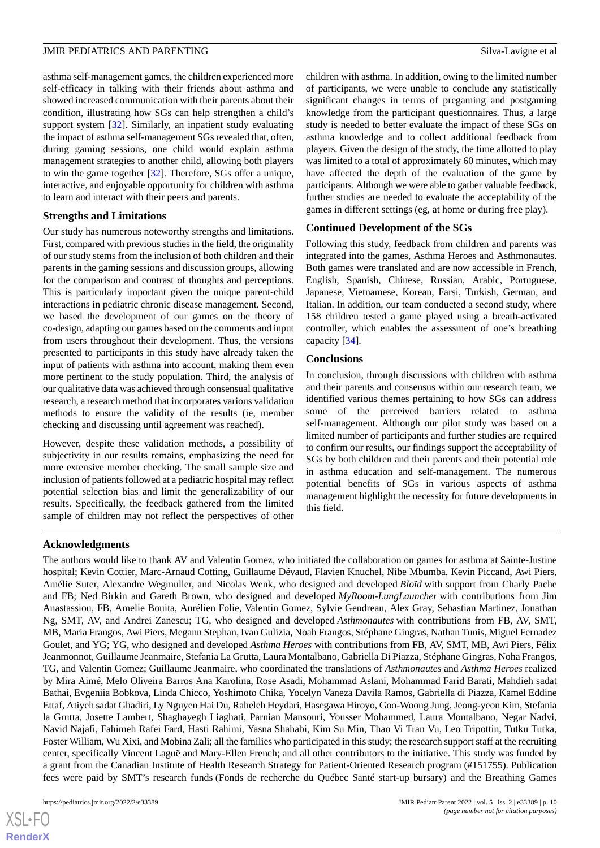asthma self-management games, the children experienced more self-efficacy in talking with their friends about asthma and showed increased communication with their parents about their condition, illustrating how SGs can help strengthen a child's support system [\[32](#page-11-13)]. Similarly, an inpatient study evaluating the impact of asthma self-management SGs revealed that, often, during gaming sessions, one child would explain asthma management strategies to another child, allowing both players to win the game together [[32\]](#page-11-13). Therefore, SGs offer a unique, interactive, and enjoyable opportunity for children with asthma to learn and interact with their peers and parents.

### **Strengths and Limitations**

Our study has numerous noteworthy strengths and limitations. First, compared with previous studies in the field, the originality of our study stems from the inclusion of both children and their parents in the gaming sessions and discussion groups, allowing for the comparison and contrast of thoughts and perceptions. This is particularly important given the unique parent-child interactions in pediatric chronic disease management. Second, we based the development of our games on the theory of co-design, adapting our games based on the comments and input from users throughout their development. Thus, the versions presented to participants in this study have already taken the input of patients with asthma into account, making them even more pertinent to the study population. Third, the analysis of our qualitative data was achieved through consensual qualitative research, a research method that incorporates various validation methods to ensure the validity of the results (ie, member checking and discussing until agreement was reached).

However, despite these validation methods, a possibility of subjectivity in our results remains, emphasizing the need for more extensive member checking. The small sample size and inclusion of patients followed at a pediatric hospital may reflect potential selection bias and limit the generalizability of our results. Specifically, the feedback gathered from the limited sample of children may not reflect the perspectives of other

children with asthma. In addition, owing to the limited number of participants, we were unable to conclude any statistically significant changes in terms of pregaming and postgaming knowledge from the participant questionnaires. Thus, a large study is needed to better evaluate the impact of these SGs on asthma knowledge and to collect additional feedback from players. Given the design of the study, the time allotted to play was limited to a total of approximately 60 minutes, which may have affected the depth of the evaluation of the game by participants. Although we were able to gather valuable feedback, further studies are needed to evaluate the acceptability of the games in different settings (eg, at home or during free play).

# **Continued Development of the SGs**

Following this study, feedback from children and parents was integrated into the games, Asthma Heroes and Asthmonautes. Both games were translated and are now accessible in French, English, Spanish, Chinese, Russian, Arabic, Portuguese, Japanese, Vietnamese, Korean, Farsi, Turkish, German, and Italian. In addition, our team conducted a second study, where 158 children tested a game played using a breath-activated controller, which enables the assessment of one's breathing capacity [[34\]](#page-11-15).

# **Conclusions**

In conclusion, through discussions with children with asthma and their parents and consensus within our research team, we identified various themes pertaining to how SGs can address some of the perceived barriers related to asthma self-management. Although our pilot study was based on a limited number of participants and further studies are required to confirm our results, our findings support the acceptability of SGs by both children and their parents and their potential role in asthma education and self-management. The numerous potential benefits of SGs in various aspects of asthma management highlight the necessity for future developments in this field.

# **Acknowledgments**

The authors would like to thank AV and Valentin Gomez, who initiated the collaboration on games for asthma at Sainte-Justine hospital; Kevin Cottier, Marc-Arnaud Cotting, Guillaume Dévaud, Flavien Knuchel, Nibe Mbumba, Kevin Piccand, Awi Piers, Amélie Suter, Alexandre Wegmuller, and Nicolas Wenk, who designed and developed *Bloïd* with support from Charly Pache and FB; Ned Birkin and Gareth Brown, who designed and developed *MyRoom-LungLauncher* with contributions from Jim Anastassiou, FB, Amelie Bouita, Aurélien Folie, Valentin Gomez, Sylvie Gendreau, Alex Gray, Sebastian Martinez, Jonathan Ng, SMT, AV, and Andrei Zanescu; TG, who designed and developed *Asthmonautes* with contributions from FB, AV, SMT, MB, Maria Frangos, Awi Piers, Megann Stephan, Ivan Gulizia, Noah Frangos, Stéphane Gingras, Nathan Tunis, Miguel Fernadez Goulet, and YG; YG, who designed and developed *Asthma Heroes* with contributions from FB, AV, SMT, MB, Awi Piers, Félix Jeanmonnot, Guillaume Jeanmaire, Stefania La Grutta, Laura Montalbano, Gabriella Di Piazza, Stéphane Gingras, Noha Frangos, TG, and Valentin Gomez; Guillaume Jeanmaire, who coordinated the translations of *Asthmonautes* and *Asthma Heroes* realized by Mira Aimé, Melo Oliveira Barros Ana Karolina, Rose Asadi, Mohammad Aslani, Mohammad Farid Barati, Mahdieh sadat Bathai, Evgeniia Bobkova, Linda Chicco, Yoshimoto Chika, Yocelyn Vaneza Davila Ramos, Gabriella di Piazza, Kamel Eddine Ettaf, Atiyeh sadat Ghadiri, Ly Nguyen Hai Du, Raheleh Heydari, Hasegawa Hiroyo, Goo-Woong Jung, Jeong-yeon Kim, Stefania la Grutta, Josette Lambert, Shaghayegh Liaghati, Parnian Mansouri, Yousser Mohammed, Laura Montalbano, Negar Nadvi, Navid Najafi, Fahimeh Rafei Fard, Hasti Rahimi, Yasna Shahabi, Kim Su Min, Thao Vi Tran Vu, Leo Tripottin, Tutku Tutka, Foster William, Wu Xixi, and Mobina Zali; all the families who participated in this study; the research support staff at the recruiting center, specifically Vincent Laguë and Mary-Ellen French; and all other contributors to the initiative. This study was funded by a grant from the Canadian Institute of Health Research Strategy for Patient-Oriented Research program (#151755). Publication fees were paid by SMT's research funds (Fonds de recherche du Québec Santé start-up bursary) and the Breathing Games

 $XS$  $\cdot$ FC **[RenderX](http://www.renderx.com/)**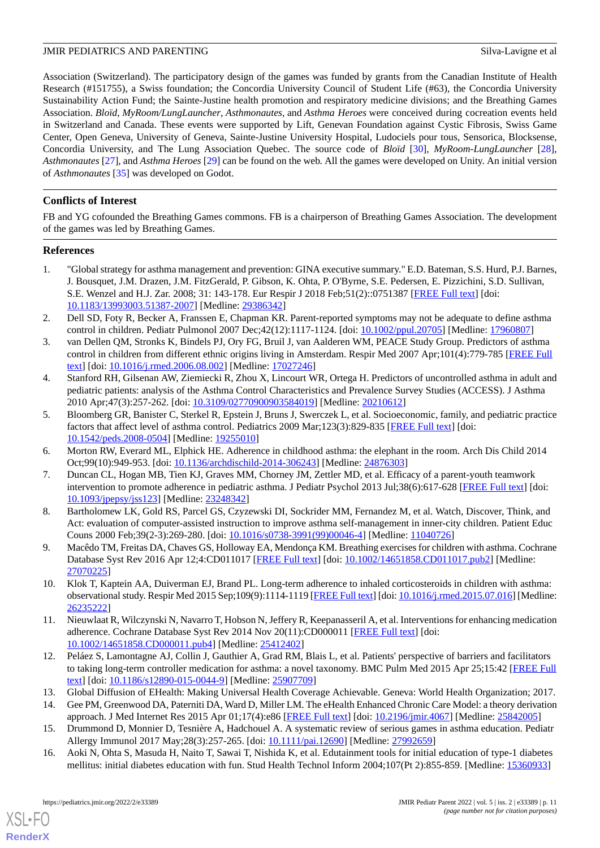Association (Switzerland). The participatory design of the games was funded by grants from the Canadian Institute of Health Research (#151755), a Swiss foundation; the Concordia University Council of Student Life (#63), the Concordia University Sustainability Action Fund; the Sainte-Justine health promotion and respiratory medicine divisions; and the Breathing Games Association. *Bloïd*, *MyRoom/LungLauncher*, *Asthmonautes,* and *Asthma Heroes* were conceived during cocreation events held in Switzerland and Canada. These events were supported by Lift, Genevan Foundation against Cystic Fibrosis, Swiss Game Center, Open Geneva, University of Geneva, Sainte-Justine University Hospital, Ludociels pour tous, Sensorica, Blocksense, Concordia University, and The Lung Association Quebec. The source code of *Bloïd* [\[30](#page-11-11)], *MyRoom-LungLauncher* [[28\]](#page-11-9), *Asthmonautes* [\[27](#page-11-8)], and *Asthma Heroes* [\[29](#page-11-10)] can be found on the web. All the games were developed on Unity. An initial version of *Asthmonautes* [\[35](#page-11-16)] was developed on Godot.

# **Conflicts of Interest**

FB and YG cofounded the Breathing Games commons. FB is a chairperson of Breathing Games Association. The development of the games was led by Breathing Games.

# <span id="page-10-0"></span>**References**

- <span id="page-10-1"></span>1. "Global strategy for asthma management and prevention: GINA executive summary." E.D. Bateman, S.S. Hurd, P.J. Barnes, J. Bousquet, J.M. Drazen, J.M. FitzGerald, P. Gibson, K. Ohta, P. O'Byrne, S.E. Pedersen, E. Pizzichini, S.D. Sullivan, S.E. Wenzel and H.J. Zar. 2008; 31: 143-178. Eur Respir J 2018 Feb;51(2)::0751387 [[FREE Full text](http://erj.ersjournals.com/cgi/pmidlookup?view=long&pmid=29386342)] [doi: [10.1183/13993003.51387-2007\]](http://dx.doi.org/10.1183/13993003.51387-2007) [Medline: [29386342](http://www.ncbi.nlm.nih.gov/entrez/query.fcgi?cmd=Retrieve&db=PubMed&list_uids=29386342&dopt=Abstract)]
- 2. Dell SD, Foty R, Becker A, Franssen E, Chapman KR. Parent-reported symptoms may not be adequate to define asthma control in children. Pediatr Pulmonol 2007 Dec;42(12):1117-1124. [doi: [10.1002/ppul.20705\]](http://dx.doi.org/10.1002/ppul.20705) [Medline: [17960807](http://www.ncbi.nlm.nih.gov/entrez/query.fcgi?cmd=Retrieve&db=PubMed&list_uids=17960807&dopt=Abstract)]
- 3. van Dellen QM, Stronks K, Bindels PJ, Ory FG, Bruil J, van Aalderen WM, PEACE Study Group. Predictors of asthma control in children from different ethnic origins living in Amsterdam. Respir Med 2007 Apr;101(4):779-785 [\[FREE Full](https://linkinghub.elsevier.com/retrieve/pii/S0954-6111(06)00397-0) [text](https://linkinghub.elsevier.com/retrieve/pii/S0954-6111(06)00397-0)] [doi: [10.1016/j.rmed.2006.08.002](http://dx.doi.org/10.1016/j.rmed.2006.08.002)] [Medline: [17027246\]](http://www.ncbi.nlm.nih.gov/entrez/query.fcgi?cmd=Retrieve&db=PubMed&list_uids=17027246&dopt=Abstract)
- <span id="page-10-2"></span>4. Stanford RH, Gilsenan AW, Ziemiecki R, Zhou X, Lincourt WR, Ortega H. Predictors of uncontrolled asthma in adult and pediatric patients: analysis of the Asthma Control Characteristics and Prevalence Survey Studies (ACCESS). J Asthma 2010 Apr;47(3):257-262. [doi: [10.3109/02770900903584019\]](http://dx.doi.org/10.3109/02770900903584019) [Medline: [20210612\]](http://www.ncbi.nlm.nih.gov/entrez/query.fcgi?cmd=Retrieve&db=PubMed&list_uids=20210612&dopt=Abstract)
- <span id="page-10-13"></span><span id="page-10-3"></span>5. Bloomberg GR, Banister C, Sterkel R, Epstein J, Bruns J, Swerczek L, et al. Socioeconomic, family, and pediatric practice factors that affect level of asthma control. Pediatrics 2009 Mar;123(3):829-835 [[FREE Full text](http://europepmc.org/abstract/MED/19255010)] [doi: [10.1542/peds.2008-0504\]](http://dx.doi.org/10.1542/peds.2008-0504) [Medline: [19255010\]](http://www.ncbi.nlm.nih.gov/entrez/query.fcgi?cmd=Retrieve&db=PubMed&list_uids=19255010&dopt=Abstract)
- <span id="page-10-4"></span>6. Morton RW, Everard ML, Elphick HE. Adherence in childhood asthma: the elephant in the room. Arch Dis Child 2014 Oct;99(10):949-953. [doi: [10.1136/archdischild-2014-306243\]](http://dx.doi.org/10.1136/archdischild-2014-306243) [Medline: [24876303\]](http://www.ncbi.nlm.nih.gov/entrez/query.fcgi?cmd=Retrieve&db=PubMed&list_uids=24876303&dopt=Abstract)
- 7. Duncan CL, Hogan MB, Tien KJ, Graves MM, Chorney JM, Zettler MD, et al. Efficacy of a parent-youth teamwork intervention to promote adherence in pediatric asthma. J Pediatr Psychol 2013 Jul;38(6):617-628 [\[FREE Full text\]](http://europepmc.org/abstract/MED/23248342) [doi: [10.1093/jpepsy/jss123](http://dx.doi.org/10.1093/jpepsy/jss123)] [Medline: [23248342](http://www.ncbi.nlm.nih.gov/entrez/query.fcgi?cmd=Retrieve&db=PubMed&list_uids=23248342&dopt=Abstract)]
- <span id="page-10-6"></span><span id="page-10-5"></span>8. Bartholomew LK, Gold RS, Parcel GS, Czyzewski DI, Sockrider MM, Fernandez M, et al. Watch, Discover, Think, and Act: evaluation of computer-assisted instruction to improve asthma self-management in inner-city children. Patient Educ Couns 2000 Feb;39(2-3):269-280. [doi: [10.1016/s0738-3991\(99\)00046-4\]](http://dx.doi.org/10.1016/s0738-3991(99)00046-4) [Medline: [11040726\]](http://www.ncbi.nlm.nih.gov/entrez/query.fcgi?cmd=Retrieve&db=PubMed&list_uids=11040726&dopt=Abstract)
- <span id="page-10-7"></span>9. Macêdo TM, Freitas DA, Chaves GS, Holloway EA, Mendonça KM. Breathing exercises for children with asthma. Cochrane Database Syst Rev 2016 Apr 12;4:CD011017 [[FREE Full text](http://europepmc.org/abstract/MED/27070225)] [doi: [10.1002/14651858.CD011017.pub2](http://dx.doi.org/10.1002/14651858.CD011017.pub2)] [Medline: [27070225](http://www.ncbi.nlm.nih.gov/entrez/query.fcgi?cmd=Retrieve&db=PubMed&list_uids=27070225&dopt=Abstract)]
- <span id="page-10-8"></span>10. Klok T, Kaptein AA, Duiverman EJ, Brand PL. Long-term adherence to inhaled corticosteroids in children with asthma: observational study. Respir Med 2015 Sep;109(9):1114-1119 [\[FREE Full text](https://linkinghub.elsevier.com/retrieve/pii/S0954-6111(15)30031-7)] [doi: [10.1016/j.rmed.2015.07.016](http://dx.doi.org/10.1016/j.rmed.2015.07.016)] [Medline: [26235222](http://www.ncbi.nlm.nih.gov/entrez/query.fcgi?cmd=Retrieve&db=PubMed&list_uids=26235222&dopt=Abstract)]
- <span id="page-10-10"></span><span id="page-10-9"></span>11. Nieuwlaat R, Wilczynski N, Navarro T, Hobson N, Jeffery R, Keepanasseril A, et al. Interventions for enhancing medication adherence. Cochrane Database Syst Rev 2014 Nov 20(11):CD000011 [\[FREE Full text\]](http://europepmc.org/abstract/MED/25412402) [doi: [10.1002/14651858.CD000011.pub4\]](http://dx.doi.org/10.1002/14651858.CD000011.pub4) [Medline: [25412402](http://www.ncbi.nlm.nih.gov/entrez/query.fcgi?cmd=Retrieve&db=PubMed&list_uids=25412402&dopt=Abstract)]
- <span id="page-10-11"></span>12. Peláez S, Lamontagne AJ, Collin J, Gauthier A, Grad RM, Blais L, et al. Patients' perspective of barriers and facilitators to taking long-term controller medication for asthma: a novel taxonomy. BMC Pulm Med 2015 Apr 25;15:42 [\[FREE Full](https://bmcpulmmed.biomedcentral.com/articles/10.1186/s12890-015-0044-9) [text](https://bmcpulmmed.biomedcentral.com/articles/10.1186/s12890-015-0044-9)] [doi: [10.1186/s12890-015-0044-9\]](http://dx.doi.org/10.1186/s12890-015-0044-9) [Medline: [25907709](http://www.ncbi.nlm.nih.gov/entrez/query.fcgi?cmd=Retrieve&db=PubMed&list_uids=25907709&dopt=Abstract)]
- <span id="page-10-12"></span>13. Global Diffusion of EHealth: Making Universal Health Coverage Achievable. Geneva: World Health Organization; 2017.
- 14. Gee PM, Greenwood DA, Paterniti DA, Ward D, Miller LM. The eHealth Enhanced Chronic Care Model: a theory derivation approach. J Med Internet Res 2015 Apr 01;17(4):e86 [\[FREE Full text\]](https://www.jmir.org/2015/4/e86/) [doi: [10.2196/jmir.4067](http://dx.doi.org/10.2196/jmir.4067)] [Medline: [25842005\]](http://www.ncbi.nlm.nih.gov/entrez/query.fcgi?cmd=Retrieve&db=PubMed&list_uids=25842005&dopt=Abstract)
- 15. Drummond D, Monnier D, Tesnière A, Hadchouel A. A systematic review of serious games in asthma education. Pediatr Allergy Immunol 2017 May;28(3):257-265. [doi: [10.1111/pai.12690](http://dx.doi.org/10.1111/pai.12690)] [Medline: [27992659](http://www.ncbi.nlm.nih.gov/entrez/query.fcgi?cmd=Retrieve&db=PubMed&list_uids=27992659&dopt=Abstract)]
- 16. Aoki N, Ohta S, Masuda H, Naito T, Sawai T, Nishida K, et al. Edutainment tools for initial education of type-1 diabetes mellitus: initial diabetes education with fun. Stud Health Technol Inform 2004;107(Pt 2):855-859. [Medline: [15360933](http://www.ncbi.nlm.nih.gov/entrez/query.fcgi?cmd=Retrieve&db=PubMed&list_uids=15360933&dopt=Abstract)]

[XSL](http://www.w3.org/Style/XSL)•FO **[RenderX](http://www.renderx.com/)**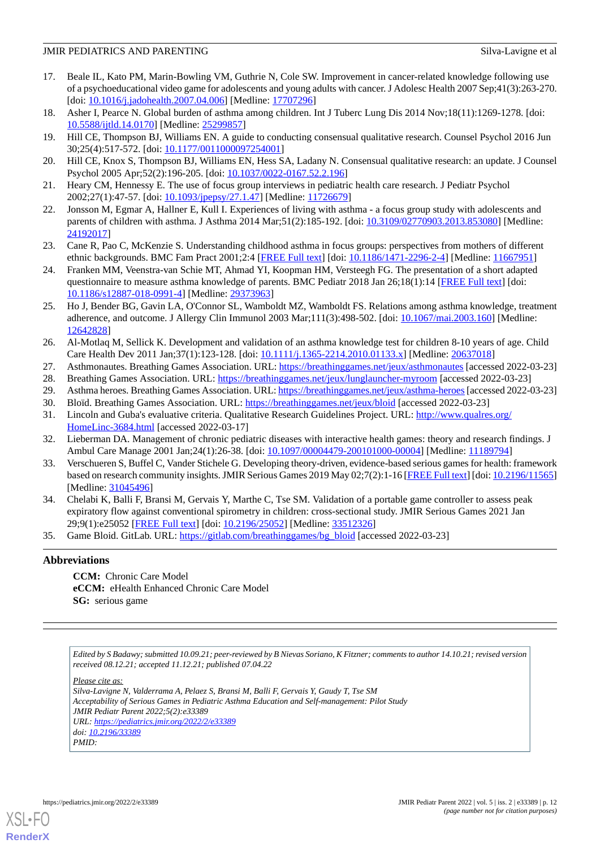- <span id="page-11-0"></span>17. Beale IL, Kato PM, Marin-Bowling VM, Guthrie N, Cole SW. Improvement in cancer-related knowledge following use of a psychoeducational video game for adolescents and young adults with cancer. J Adolesc Health 2007 Sep;41(3):263-270. [doi: [10.1016/j.jadohealth.2007.04.006\]](http://dx.doi.org/10.1016/j.jadohealth.2007.04.006) [Medline: [17707296](http://www.ncbi.nlm.nih.gov/entrez/query.fcgi?cmd=Retrieve&db=PubMed&list_uids=17707296&dopt=Abstract)]
- <span id="page-11-2"></span><span id="page-11-1"></span>18. Asher I, Pearce N. Global burden of asthma among children. Int J Tuberc Lung Dis 2014 Nov;18(11):1269-1278. [doi: [10.5588/ijtld.14.0170\]](http://dx.doi.org/10.5588/ijtld.14.0170) [Medline: [25299857\]](http://www.ncbi.nlm.nih.gov/entrez/query.fcgi?cmd=Retrieve&db=PubMed&list_uids=25299857&dopt=Abstract)
- <span id="page-11-3"></span>19. Hill CE, Thompson BJ, Williams EN. A guide to conducting consensual qualitative research. Counsel Psychol 2016 Jun 30;25(4):517-572. [doi: [10.1177/0011000097254001\]](http://dx.doi.org/10.1177/0011000097254001)
- <span id="page-11-4"></span>20. Hill CE, Knox S, Thompson BJ, Williams EN, Hess SA, Ladany N. Consensual qualitative research: an update. J Counsel Psychol 2005 Apr;52(2):196-205. [doi: [10.1037/0022-0167.52.2.196\]](http://dx.doi.org/10.1037/0022-0167.52.2.196)
- 21. Heary CM, Hennessy E. The use of focus group interviews in pediatric health care research. J Pediatr Psychol 2002;27(1):47-57. [doi: [10.1093/jpepsy/27.1.47\]](http://dx.doi.org/10.1093/jpepsy/27.1.47) [Medline: [11726679](http://www.ncbi.nlm.nih.gov/entrez/query.fcgi?cmd=Retrieve&db=PubMed&list_uids=11726679&dopt=Abstract)]
- <span id="page-11-5"></span>22. Jonsson M, Egmar A, Hallner E, Kull I. Experiences of living with asthma - a focus group study with adolescents and parents of children with asthma. J Asthma 2014 Mar;51(2):185-192. [doi: [10.3109/02770903.2013.853080\]](http://dx.doi.org/10.3109/02770903.2013.853080) [Medline: [24192017](http://www.ncbi.nlm.nih.gov/entrez/query.fcgi?cmd=Retrieve&db=PubMed&list_uids=24192017&dopt=Abstract)]
- <span id="page-11-6"></span>23. Cane R, Pao C, McKenzie S. Understanding childhood asthma in focus groups: perspectives from mothers of different ethnic backgrounds. BMC Fam Pract 2001;2:4 [[FREE Full text](https://bmcfampract.biomedcentral.com/articles/10.1186/1471-2296-2-4)] [doi: [10.1186/1471-2296-2-4\]](http://dx.doi.org/10.1186/1471-2296-2-4) [Medline: [11667951\]](http://www.ncbi.nlm.nih.gov/entrez/query.fcgi?cmd=Retrieve&db=PubMed&list_uids=11667951&dopt=Abstract)
- 24. Franken MM, Veenstra-van Schie MT, Ahmad YI, Koopman HM, Versteegh FG. The presentation of a short adapted questionnaire to measure asthma knowledge of parents. BMC Pediatr 2018 Jan 26;18(1):14 [[FREE Full text](https://bmcpediatr.biomedcentral.com/articles/10.1186/s12887-018-0991-4)] [doi: [10.1186/s12887-018-0991-4\]](http://dx.doi.org/10.1186/s12887-018-0991-4) [Medline: [29373963](http://www.ncbi.nlm.nih.gov/entrez/query.fcgi?cmd=Retrieve&db=PubMed&list_uids=29373963&dopt=Abstract)]
- <span id="page-11-7"></span>25. Ho J, Bender BG, Gavin LA, O'Connor SL, Wamboldt MZ, Wamboldt FS. Relations among asthma knowledge, treatment adherence, and outcome. J Allergy Clin Immunol 2003 Mar;111(3):498-502. [doi: [10.1067/mai.2003.160\]](http://dx.doi.org/10.1067/mai.2003.160) [Medline: [12642828](http://www.ncbi.nlm.nih.gov/entrez/query.fcgi?cmd=Retrieve&db=PubMed&list_uids=12642828&dopt=Abstract)]
- <span id="page-11-10"></span><span id="page-11-9"></span><span id="page-11-8"></span>26. Al-Motlaq M, Sellick K. Development and validation of an asthma knowledge test for children 8-10 years of age. Child Care Health Dev 2011 Jan;37(1):123-128. [doi: [10.1111/j.1365-2214.2010.01133.x](http://dx.doi.org/10.1111/j.1365-2214.2010.01133.x)] [Medline: [20637018\]](http://www.ncbi.nlm.nih.gov/entrez/query.fcgi?cmd=Retrieve&db=PubMed&list_uids=20637018&dopt=Abstract)
- <span id="page-11-11"></span>27. Asthmonautes. Breathing Games Association. URL:<https://breathinggames.net/jeux/asthmonautes> [accessed 2022-03-23]
- <span id="page-11-12"></span>28. Breathing Games Association. URL:<https://breathinggames.net/jeux/lunglauncher-myroom> [accessed 2022-03-23]
- <span id="page-11-13"></span>29. Asthma heroes. Breathing Games Association. URL:<https://breathinggames.net/jeux/asthma-heroes> [accessed 2022-03-23]
- 30. Bloïd. Breathing Games Association. URL: <https://breathinggames.net/jeux/bloid> [accessed 2022-03-23]
- <span id="page-11-14"></span>31. Lincoln and Guba's evaluative criteria. Qualitative Research Guidelines Project. URL: [http://www.qualres.org/](http://www.qualres.org/HomeLinc-3684.html) [HomeLinc-3684.html](http://www.qualres.org/HomeLinc-3684.html) [accessed 2022-03-17]
- <span id="page-11-15"></span>32. Lieberman DA. Management of chronic pediatric diseases with interactive health games: theory and research findings. J Ambul Care Manage 2001 Jan;24(1):26-38. [doi: [10.1097/00004479-200101000-00004](http://dx.doi.org/10.1097/00004479-200101000-00004)] [Medline: [11189794](http://www.ncbi.nlm.nih.gov/entrez/query.fcgi?cmd=Retrieve&db=PubMed&list_uids=11189794&dopt=Abstract)]
- 33. Verschueren S, Buffel C, Vander Stichele G. Developing theory-driven, evidence-based serious games for health: framework based on research community insights. JMIR Serious Games 2019 May 02;7(2):1-16 [\[FREE Full text](https://games.jmir.org/2019/2/e11565/)] [doi: [10.2196/11565](http://dx.doi.org/10.2196/11565)] [Medline: [31045496](http://www.ncbi.nlm.nih.gov/entrez/query.fcgi?cmd=Retrieve&db=PubMed&list_uids=31045496&dopt=Abstract)]
- <span id="page-11-16"></span>34. Chelabi K, Balli F, Bransi M, Gervais Y, Marthe C, Tse SM. Validation of a portable game controller to assess peak expiratory flow against conventional spirometry in children: cross-sectional study. JMIR Serious Games 2021 Jan 29;9(1):e25052 [\[FREE Full text](https://games.jmir.org/2021/1/e25052/)] [doi: [10.2196/25052\]](http://dx.doi.org/10.2196/25052) [Medline: [33512326\]](http://www.ncbi.nlm.nih.gov/entrez/query.fcgi?cmd=Retrieve&db=PubMed&list_uids=33512326&dopt=Abstract)
- 35. Game Bloid. GitLab. URL: [https://gitlab.com/breathinggames/bg\\_bloid](https://gitlab.com/breathinggames/bg_bloid) [accessed 2022-03-23]

# **Abbreviations**

**CCM:** Chronic Care Model **eCCM:** eHealth Enhanced Chronic Care Model **SG:** serious game

*Edited by S Badawy; submitted 10.09.21; peer-reviewed by B Nievas Soriano, K Fitzner; comments to author 14.10.21; revised version received 08.12.21; accepted 11.12.21; published 07.04.22*

*Please cite as:*

*Silva-Lavigne N, Valderrama A, Pelaez S, Bransi M, Balli F, Gervais Y, Gaudy T, Tse SM Acceptability of Serious Games in Pediatric Asthma Education and Self-management: Pilot Study JMIR Pediatr Parent 2022;5(2):e33389 URL: <https://pediatrics.jmir.org/2022/2/e33389> doi: [10.2196/33389](http://dx.doi.org/10.2196/33389)*

*PMID:*